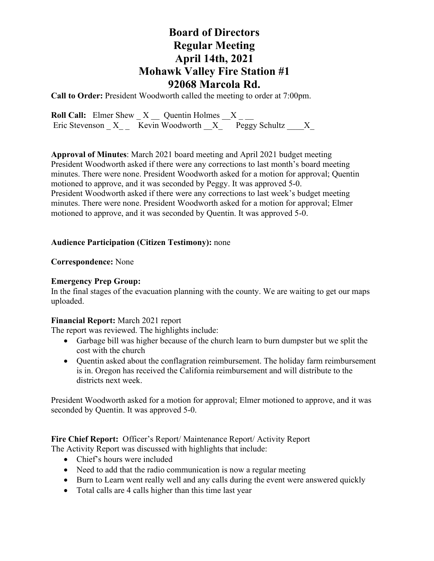## **Board of Directors Regular Meeting April 14th, 2021 Mohawk Valley Fire Station #1 92068 Marcola Rd.**

**Call to Order:** President Woodworth called the meeting to order at 7:00pm.

**Roll Call:** Elmer Shew  $X$   $\_\_$  Quentin Holmes  $\_\_X$   $\_\_$ Eric Stevenson  $X$  Kevin Woodworth  $X$  Peggy Schultz  $X$ 

**Approval of Minutes**: March 2021 board meeting and April 2021 budget meeting President Woodworth asked if there were any corrections to last month's board meeting minutes. There were none. President Woodworth asked for a motion for approval; Quentin motioned to approve, and it was seconded by Peggy. It was approved 5-0. President Woodworth asked if there were any corrections to last week's budget meeting minutes. There were none. President Woodworth asked for a motion for approval; Elmer motioned to approve, and it was seconded by Quentin. It was approved 5-0.

### **Audience Participation (Citizen Testimony):** none

### **Correspondence:** None

### **Emergency Prep Group:**

In the final stages of the evacuation planning with the county. We are waiting to get our maps uploaded.

### **Financial Report:** March 2021 report

The report was reviewed. The highlights include:

- Garbage bill was higher because of the church learn to burn dumpster but we split the cost with the church
- Quentin asked about the conflagration reimbursement. The holiday farm reimbursement is in. Oregon has received the California reimbursement and will distribute to the districts next week.

President Woodworth asked for a motion for approval; Elmer motioned to approve, and it was seconded by Quentin. It was approved 5-0.

### **Fire Chief Report:** Officer's Report/ Maintenance Report/ Activity Report The Activity Report was discussed with highlights that include:

- Chief's hours were included
- Need to add that the radio communication is now a regular meeting
- Burn to Learn went really well and any calls during the event were answered quickly
- Total calls are 4 calls higher than this time last year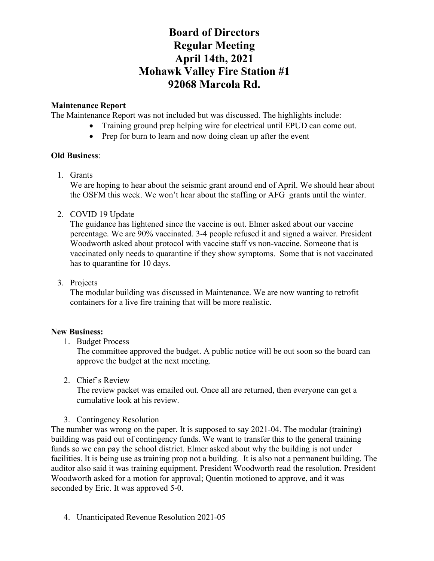# **Board of Directors Regular Meeting April 14th, 2021 Mohawk Valley Fire Station #1 92068 Marcola Rd.**

### **Maintenance Report**

The Maintenance Report was not included but was discussed. The highlights include:

- Training ground prep helping wire for electrical until EPUD can come out.
	- Prep for burn to learn and now doing clean up after the event

### **Old Business**:

1. Grants

We are hoping to hear about the seismic grant around end of April. We should hear about the OSFM this week. We won't hear about the staffing or AFG grants until the winter.

2. COVID 19 Update

The guidance has lightened since the vaccine is out. Elmer asked about our vaccine percentage. We are 90% vaccinated. 3-4 people refused it and signed a waiver. President Woodworth asked about protocol with vaccine staff vs non-vaccine. Someone that is vaccinated only needs to quarantine if they show symptoms. Some that is not vaccinated has to quarantine for 10 days.

3. Projects

The modular building was discussed in Maintenance. We are now wanting to retrofit containers for a live fire training that will be more realistic.

### **New Business:**

1. Budget Process

The committee approved the budget. A public notice will be out soon so the board can approve the budget at the next meeting.

2. Chief's Review

The review packet was emailed out. Once all are returned, then everyone can get a cumulative look at his review.

3. Contingency Resolution

The number was wrong on the paper. It is supposed to say 2021-04. The modular (training) building was paid out of contingency funds. We want to transfer this to the general training funds so we can pay the school district. Elmer asked about why the building is not under facilities. It is being use as training prop not a building. It is also not a permanent building. The auditor also said it was training equipment. President Woodworth read the resolution. President Woodworth asked for a motion for approval; Quentin motioned to approve, and it was seconded by Eric. It was approved 5-0.

4. Unanticipated Revenue Resolution 2021-05